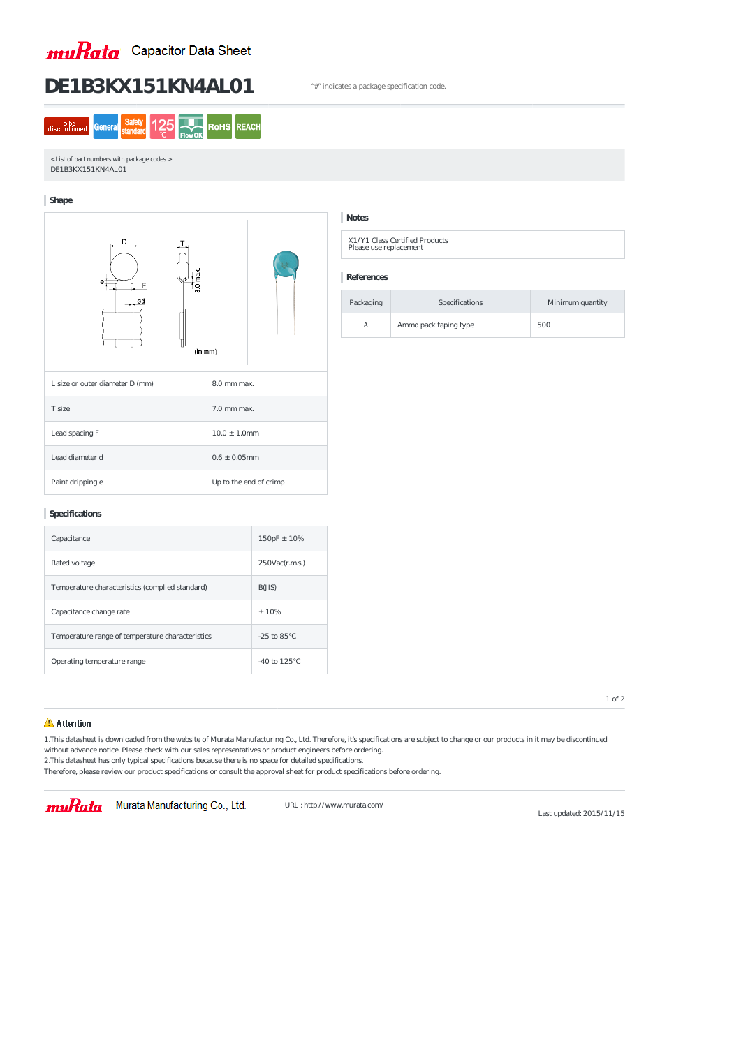

# DE1B3KX151KN4AL01 <sup>\*</sup> #" indicates a package specification code.

**REACH** To be<br>discontinue **RoHS** General

< List of part numbers with package codes > DE1B3KX151KN4AL01

### **Shape**



X1/Y1 Class Certified Products Please use replacement

### **Specifications**

| Capacitance                                      | $150pF \pm 10%$      |
|--------------------------------------------------|----------------------|
| Rated voltage                                    | $250$ Vac $(r.m.s.)$ |
| Temperature characteristics (complied standard)  | B(JIS)               |
| Capacitance change rate                          | $\pm 10\%$           |
| Temperature range of temperature characteristics | $-25$ to $85$        |
| Operating temperature range                      | $-40$ to 125         |

## **Notes**

### **References**

| Packaging | Specifications        | Minimum quantity |
|-----------|-----------------------|------------------|
|           | Ammo pack taping type | 500              |

1 of 2

## Attention

1.This datasheet is downloaded from the website of Murata Manufacturing Co., Ltd. Therefore, it's specifications are subject to change or our products in it may be discontinued without advance notice. Please check with our sales representatives or product engineers before ordering. 2.This datasheet has only typical specifications because there is no space for detailed specifications.

Therefore, please review our product specifications or consult the approval sheet for product specifications before ordering.

# muRata Murata Manufacturing Co., Ltd.

URL : http://www.murata.com/

Last updated: 2015/11/15